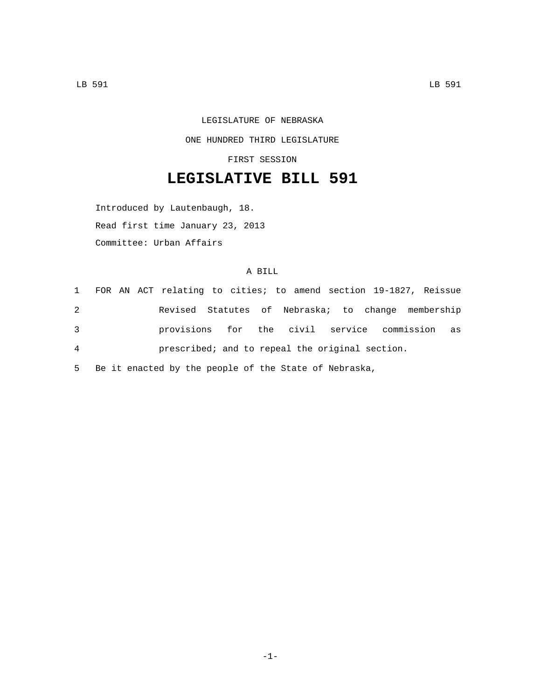LEGISLATURE OF NEBRASKA ONE HUNDRED THIRD LEGISLATURE

FIRST SESSION

## **LEGISLATIVE BILL 591**

Introduced by Lautenbaugh, 18. Read first time January 23, 2013 Committee: Urban Affairs

## A BILL

|                |  | 1 FOR AN ACT relating to cities; to amend section 19-1827, Reissue |  |  |  |  |  |
|----------------|--|--------------------------------------------------------------------|--|--|--|--|--|
| 2              |  | Revised Statutes of Nebraska; to change membership                 |  |  |  |  |  |
| 3              |  | provisions for the civil service commission as                     |  |  |  |  |  |
| $\overline{4}$ |  | prescribed; and to repeal the original section.                    |  |  |  |  |  |

5 Be it enacted by the people of the State of Nebraska,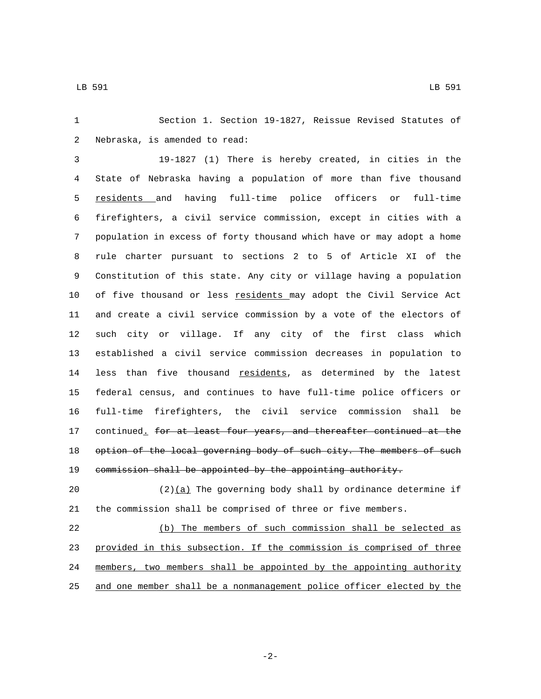Section 1. Section 19-1827, Reissue Revised Statutes of 2 Nebraska, is amended to read:

 19-1827 (1) There is hereby created, in cities in the State of Nebraska having a population of more than five thousand residents and having full-time police officers or full-time firefighters, a civil service commission, except in cities with a population in excess of forty thousand which have or may adopt a home rule charter pursuant to sections 2 to 5 of Article XI of the Constitution of this state. Any city or village having a population of five thousand or less residents may adopt the Civil Service Act and create a civil service commission by a vote of the electors of such city or village. If any city of the first class which established a civil service commission decreases in population to 14 less than five thousand residents, as determined by the latest federal census, and continues to have full-time police officers or full-time firefighters, the civil service commission shall be 17 continued\_ for at least four years, and thereafter continued at the 18 option of the local governing body of such city. The members of such commission shall be appointed by the appointing authority.

20 (2) $(a)$  The governing body shall by ordinance determine if the commission shall be comprised of three or five members.

 (b) The members of such commission shall be selected as provided in this subsection. If the commission is comprised of three members, two members shall be appointed by the appointing authority and one member shall be a nonmanagement police officer elected by the

-2-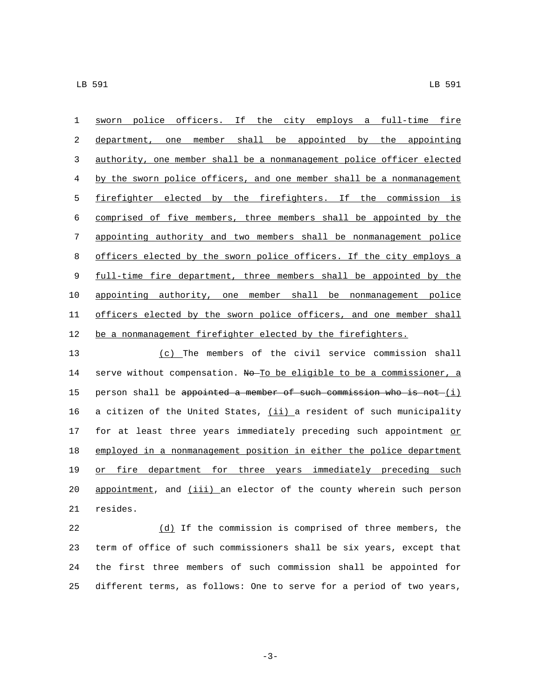sworn police officers. If the city employs a full-time fire department, one member shall be appointed by the appointing authority, one member shall be a nonmanagement police officer elected by the sworn police officers, and one member shall be a nonmanagement firefighter elected by the firefighters. If the commission is comprised of five members, three members shall be appointed by the appointing authority and two members shall be nonmanagement police officers elected by the sworn police officers. If the city employs a full-time fire department, three members shall be appointed by the appointing authority, one member shall be nonmanagement police officers elected by the sworn police officers, and one member shall 12 be a nonmanagement firefighter elected by the firefighters.

 (c) The members of the civil service commission shall 14 serve without compensation. No To be eligible to be a commissioner, a 15 person shall be appointed a member of such commission who is not  $(i)$ 16 a citizen of the United States, (ii) a resident of such municipality 17 for at least three years immediately preceding such appointment or employed in a nonmanagement position in either the police department 19 or fire department for three years immediately preceding such 20 appointment, and (iii) an elector of the county wherein such person 21 resides.

 (d) If the commission is comprised of three members, the term of office of such commissioners shall be six years, except that the first three members of such commission shall be appointed for different terms, as follows: One to serve for a period of two years,

-3-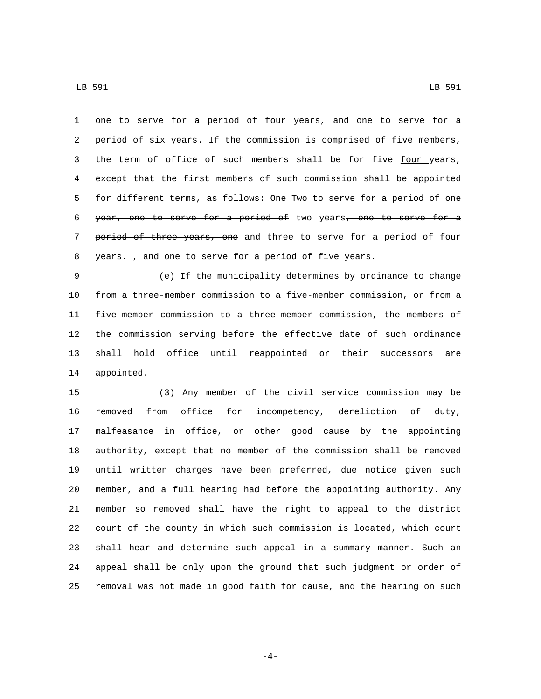one to serve for a period of four years, and one to serve for a period of six years. If the commission is comprised of five members, 3 the term of office of such members shall be for five four years, except that the first members of such commission shall be appointed 5 for different terms, as follows: One Two to serve for a period of one 6 year, one to serve for a period of two years, one to serve for a 7 period of three years, one and three to serve for a period of four 8 years.  $\frac{1}{x}$  and one to serve for a period of five years.

 (e) If the municipality determines by ordinance to change from a three-member commission to a five-member commission, or from a five-member commission to a three-member commission, the members of the commission serving before the effective date of such ordinance shall hold office until reappointed or their successors are 14 appointed.

 (3) Any member of the civil service commission may be removed from office for incompetency, dereliction of duty, malfeasance in office, or other good cause by the appointing authority, except that no member of the commission shall be removed until written charges have been preferred, due notice given such member, and a full hearing had before the appointing authority. Any member so removed shall have the right to appeal to the district court of the county in which such commission is located, which court shall hear and determine such appeal in a summary manner. Such an appeal shall be only upon the ground that such judgment or order of removal was not made in good faith for cause, and the hearing on such

-4-